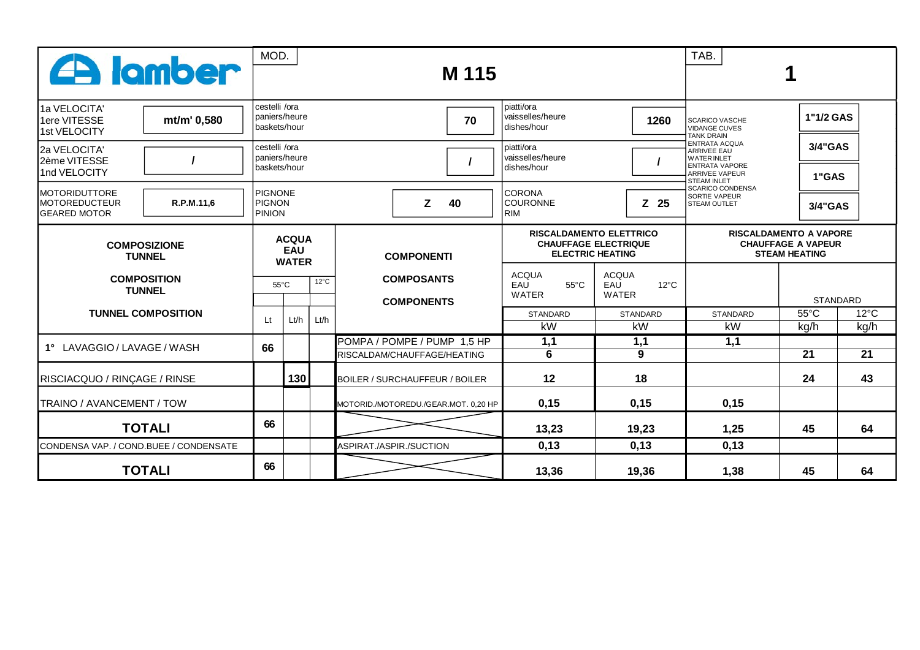| <b>A</b> lamber                                                                                          |             |                                                 | MOD. |      | M 115                                                      | TAB.                                                                                     |                                                |                                                                                                                                          |                        |                        |  |
|----------------------------------------------------------------------------------------------------------|-------------|-------------------------------------------------|------|------|------------------------------------------------------------|------------------------------------------------------------------------------------------|------------------------------------------------|------------------------------------------------------------------------------------------------------------------------------------------|------------------------|------------------------|--|
| 11a VELOCITA'<br>1ere VITESSE<br>1st VELOCITY                                                            | mt/m' 0,580 | cestelli /ora<br>Ipaniers/heure<br>baskets/hour |      |      | 70                                                         | piatti/ora<br>vaisselles/heure<br>1260<br>dishes/hour                                    |                                                | <b>SCARICO VASCHE</b><br><b>VIDANGE CUVES</b><br><b>TANK DRAIN</b>                                                                       |                        | 1"1/2 GAS              |  |
| 2a VELOCITA'<br>2ème VITESSE<br>1nd VELOCITY                                                             |             | cestelli /ora<br>Ipaniers/heure<br>baskets/hour |      |      |                                                            | piatti/ora<br>vaisselles/heure<br>dishes/hour                                            |                                                | <b>ENTRATA ACQUA</b><br><b>ARRIVEE EAU</b><br><b>WATER INLET</b><br><b>ENTRATA VAPORE</b><br><b>ARRIVEE VAPEUR</b><br><b>STEAM INLET</b> |                        | 3/4"GAS<br>1"GAS       |  |
| <b>MOTORIDUTTORE</b><br><b>MOTOREDUCTEUR</b><br><b>GEARED MOTOR</b>                                      | R.P.M.11,6  | PIGNONE<br><b>PIGNON</b><br><b>PINION</b>       |      |      | z<br>40                                                    | <b>CORONA</b><br><b>COURONNE</b><br><b>RIM</b>                                           | $Z$ 25                                         | <b>SCARICO CONDENSA</b><br>SORTIE VAPEUR<br>STEAM OUTLET                                                                                 | 3/4"GAS                |                        |  |
| <b>COMPOSIZIONE</b><br><b>TUNNEL</b><br><b>COMPOSITION</b><br><b>TUNNEL</b><br><b>TUNNEL COMPOSITION</b> |             | <b>ACQUA</b><br><b>EAU</b><br><b>WATER</b>      |      |      | <b>COMPONENTI</b>                                          | <b>RISCALDAMENTO ELETTRICO</b><br><b>CHAUFFAGE ELECTRIQUE</b><br><b>ELECTRIC HEATING</b> |                                                | <b>RISCALDAMENTO A VAPORE</b><br><b>CHAUFFAGE A VAPEUR</b><br><b>STEAM HEATING</b>                                                       |                        |                        |  |
|                                                                                                          |             | $12^{\circ}$ C<br>$55^{\circ}$ C                |      |      | <b>COMPOSANTS</b><br><b>COMPONENTS</b>                     | <b>ACQUA</b><br>$55^{\circ}$ C<br>EAU<br>WATER                                           | <b>ACQUA</b><br>$12^{\circ}$ C<br>EAU<br>WATER |                                                                                                                                          | <b>STANDARD</b>        |                        |  |
|                                                                                                          |             | Lt                                              | Lt/h | Lt/h |                                                            | <b>STANDARD</b><br>kW                                                                    | <b>STANDARD</b><br>kW                          | <b>STANDARD</b><br>kW                                                                                                                    | $55^{\circ}$ C<br>kg/h | $12^{\circ}$ C<br>kg/h |  |
| 1° LAVAGGIO / LAVAGE / WASH                                                                              |             | 66                                              |      |      | POMPA / POMPE / PUMP 1,5 HP<br>RISCALDAM/CHAUFFAGE/HEATING | 1,1<br>6                                                                                 | 1,1<br>9                                       | 1,1                                                                                                                                      | $\overline{21}$        | $\overline{21}$        |  |
| RISCIACQUO / RINÇAGE / RINSE                                                                             |             |                                                 | 130  |      | BOILER / SURCHAUFFEUR / BOILER                             | 12                                                                                       | 18                                             |                                                                                                                                          | 24                     | 43                     |  |
| <b>ITRAINO / AVANCEMENT / TOW</b>                                                                        |             |                                                 |      |      | MOTORID./MOTOREDU./GEAR.MOT. 0,20 HP                       | 0,15                                                                                     | 0,15                                           | 0,15                                                                                                                                     |                        |                        |  |
| <b>TOTALI</b>                                                                                            |             | 66                                              |      |      |                                                            | 13,23                                                                                    | 19,23                                          | 1,25                                                                                                                                     | 45                     | 64                     |  |
| CONDENSA VAP. / COND.BUEE / CONDENSATE                                                                   |             |                                                 |      |      | ASPIRAT./ASPIR./SUCTION                                    | 0,13                                                                                     | 0,13                                           | 0,13                                                                                                                                     |                        |                        |  |
| <b>TOTALI</b>                                                                                            |             | 66                                              |      |      |                                                            | 13,36                                                                                    | 19,36                                          | 1,38                                                                                                                                     | 45                     | 64                     |  |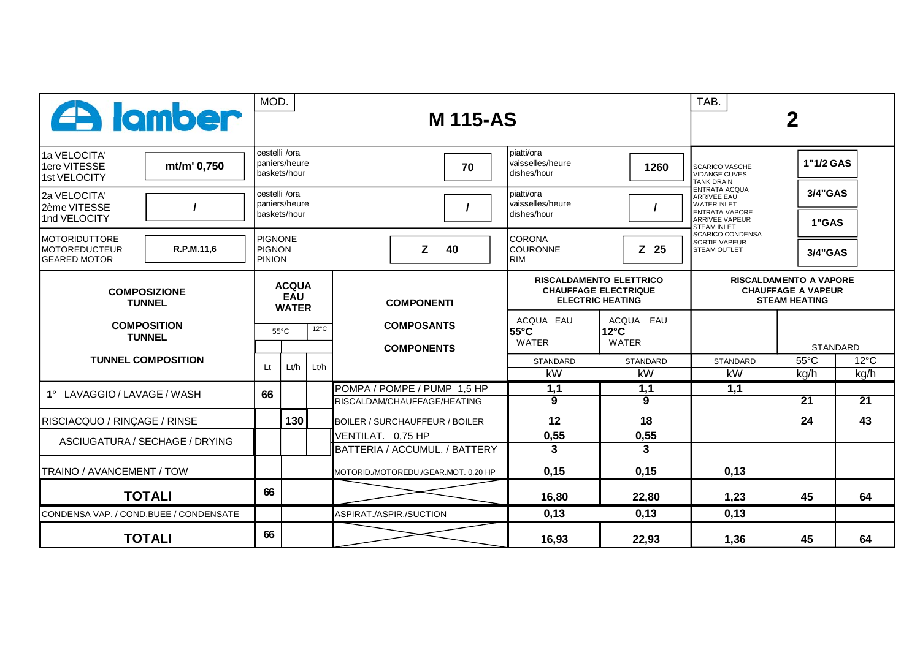| <b>A</b> lamber                                                     |                                                 |                                            | MOD.<br><b>M115-AS</b>        |      |                                                            |   |                               |                                                                                          |                                                                                    |                                                                                                                                          | TAB.<br>2              |                        |  |  |
|---------------------------------------------------------------------|-------------------------------------------------|--------------------------------------------|-------------------------------|------|------------------------------------------------------------|---|-------------------------------|------------------------------------------------------------------------------------------|------------------------------------------------------------------------------------|------------------------------------------------------------------------------------------------------------------------------------------|------------------------|------------------------|--|--|
| 1a VELOCITA'<br>1ere VITESSE<br>1st VELOCITY                        | mt/m' 0,750                                     | cestelli /ora                              | paniers/heure<br>baskets/hour |      | 70                                                         |   |                               | piatti/ora<br>vaisselles/heure<br>1260<br>dishes/hour                                    |                                                                                    | <b>SCARICO VASCHE</b><br><b>VIDANGE CUVES</b><br><b>TANK DRAIN</b>                                                                       |                        | 1"1/2 GAS              |  |  |
| 2a VELOCITA'<br>2ème VITESSE<br>1nd VELOCITY                        | cestelli /ora<br>paniers/heure<br>İbaskets/hour |                                            |                               |      |                                                            |   |                               | piatti/ora<br>vaisselles/heure<br>dishes/hour                                            |                                                                                    | <b>ENTRATA ACQUA</b><br><b>ARRIVEE EAU</b><br><b>WATER INLET</b><br><b>ENTRATA VAPORE</b><br><b>ARRIVEE VAPEUR</b><br><b>STEAM INLET</b> |                        | 3/4"GAS<br>1"GAS       |  |  |
| <b>MOTORIDUTTORE</b><br><b>MOTOREDUCTEUR</b><br><b>GEARED MOTOR</b> | R.P.M.11,6                                      | <b>PIGNONE</b><br>PIGNON<br><b>PINION</b>  |                               |      |                                                            | Z | 40                            | ICORONA<br><b>COURONNE</b><br>l RIM                                                      | $Z$ 25                                                                             | <b>SCARICO CONDENSA</b><br><b>SORTIE VAPEUR</b><br><b>STEAM OUTLET</b>                                                                   |                        | 3/4"GAS                |  |  |
| <b>COMPOSIZIONE</b><br><b>TUNNEL</b>                                |                                                 | <b>ACQUA</b><br><b>EAU</b><br><b>WATER</b> |                               |      | <b>COMPONENTI</b>                                          |   |                               | <b>RISCALDAMENTO ELETTRICO</b><br><b>CHAUFFAGE ELECTRIQUE</b><br><b>ELECTRIC HEATING</b> | <b>RISCALDAMENTO A VAPORE</b><br><b>CHAUFFAGE A VAPEUR</b><br><b>STEAM HEATING</b> |                                                                                                                                          |                        |                        |  |  |
| <b>COMPOSITION</b><br><b>TUNNEL</b><br><b>TUNNEL COMPOSITION</b>    |                                                 | $12^{\circ}$ C<br>$55^{\circ}$ C           |                               |      | <b>COMPOSANTS</b><br><b>COMPONENTS</b>                     |   |                               | ACQUA EAU<br> 55°C<br><b>WATER</b>                                                       | ACQUA EAU<br>$12^{\circ}$ C<br>WATER                                               |                                                                                                                                          | <b>STANDARD</b>        |                        |  |  |
|                                                                     |                                                 | Lt                                         | Lt/h                          | Lt/h |                                                            |   |                               | <b>STANDARD</b><br>kW                                                                    | <b>STANDARD</b><br>kW                                                              | <b>STANDARD</b><br>kW                                                                                                                    | $55^{\circ}$ C<br>kg/h | $12^{\circ}$ C<br>kg/h |  |  |
| 1° LAVAGGIO / LAVAGE / WASH                                         |                                                 | 66                                         |                               |      | POMPA / POMPE / PUMP 1,5 HP<br>RISCALDAM/CHAUFFAGE/HEATING |   |                               | 1,1<br>9                                                                                 | 1,1<br>9                                                                           | 1,1                                                                                                                                      | $\overline{21}$        | $\overline{21}$        |  |  |
| RISCIACQUO / RINÇAGE / RINSE                                        |                                                 |                                            | 130                           |      | <b>BOILER / SURCHAUFFEUR / BOILER</b>                      |   |                               | 12                                                                                       | 18                                                                                 |                                                                                                                                          | 24                     | 43                     |  |  |
| ASCIUGATURA / SECHAGE / DRYING                                      |                                                 |                                            |                               |      | VENTILAT. 0,75 HP                                          |   | BATTERIA / ACCUMUL. / BATTERY | 0,55<br>$\mathbf{3}$                                                                     | 0,55<br>3                                                                          |                                                                                                                                          |                        |                        |  |  |
| TRAINO / AVANCEMENT / TOW                                           |                                                 |                                            |                               |      | MOTORID./MOTOREDU./GEAR.MOT. 0,20 HP                       |   |                               | 0,15                                                                                     | 0,15                                                                               | 0,13                                                                                                                                     |                        |                        |  |  |
| <b>TOTALI</b>                                                       |                                                 |                                            | 66                            |      |                                                            |   |                               | 16,80                                                                                    | 22,80                                                                              | 1,23                                                                                                                                     | 45                     | 64                     |  |  |
| CONDENSA VAP. / COND.BUEE / CONDENSATE                              |                                                 |                                            |                               |      | ASPIRAT./ASPIR./SUCTION                                    |   |                               | 0,13                                                                                     | 0,13                                                                               | 0,13                                                                                                                                     |                        |                        |  |  |
| <b>TOTALI</b>                                                       |                                                 |                                            |                               |      |                                                            |   |                               | 16,93                                                                                    | 22,93                                                                              | 1,36                                                                                                                                     | 45                     | 64                     |  |  |